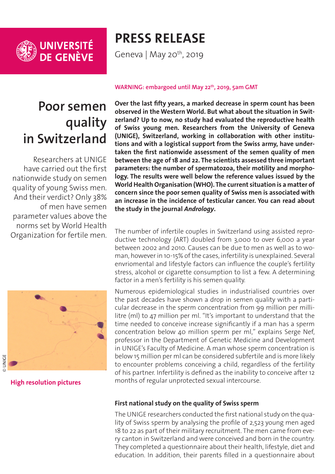

# **PRESS RELEASE**

Geneva | May 20<sup>th</sup>, 2019

# **Poor semen quality in Switzerland**

Researchers at UNIGE have carried out the first nationwide study on semen quality of young Swiss men. And their verdict? Only 38% of men have semen parameter values above the norms set by World Health Organization for fertile men.



**[High resolution pictures](https://phototheque.unige.ch/documents/facets?newFacet=mot.cle.marc%3DCdP_190523_Nef&clearFacets=1)**

#### **WARNING: embargoed until May 22th, 2019, 5am GMT**

**Over the last fifty years, a marked decrease in sperm count has been observed in the Western World. But what about the situation in Switzerland? Up to now, no study had evaluated the reproductive health of Swiss young men. Researchers from the University of Geneva (UNIGE), Switzerland, working in collaboration with other institutions and with a logistical support from the Swiss army, have undertaken the first nationwide assessment of the semen quality of men between the age of 18 and 22. The scientists assessed three important parameters: the number of spermatozoa, their motility and morphology. The results were well below the reference values issued by the World Health Organisation (WHO). The current situation is a matter of concern since the poor semen quality of Swiss men is associated with an increase in the incidence of testicular cancer. You can read about the study in the journal** *Andrology***.**

The number of infertile couples in Switzerland using assisted reproductive technology (ART) doubled from 3,000 to over 6,000 a year between 2002 and 2010. Causes can be due to men as well as to woman, however in 10-15% of the cases, infertility is unexplained. Several envriomental and lifestyle factors can influence the couple's fertility stress, alcohol or cigarette consumption to list a few. A determining factor in a men's fertility is his semen quality.

Numerous epidemiological studies in industrialised countries over the past decades have shown a drop in semen quality with a particular decrease in the sperm concentration from 99 million per millilitre (ml) to 47 million per ml. "It's important to understand that the time needed to conceive increase significantly if a man has a sperm concentration below 40 million sperm per ml," explains Serge Nef, professor in the Department of Genetic Medicine and Development in UNIGE's Faculty of Medicine. A man whose sperm concentration is below 15 million per ml can be considered subfertile and is more likely to encounter problems conceiving a child, regardless of the fertility of his partner. Infertility is defined as the inability to conceive after 12 months of regular unprotected sexual intercourse.

### **First national study on the quality of Swiss sperm**

The UNIGE researchers conducted the first national study on the quality of Swiss sperm by analysing the profile of 2,523 young men aged 18 to 22 as part of their military recruitment. The men came from every canton in Switzerland and were conceived and born in the country. They completed a questionnaire about their health, lifestyle, diet and education. In addition, their parents filled in a questionnaire about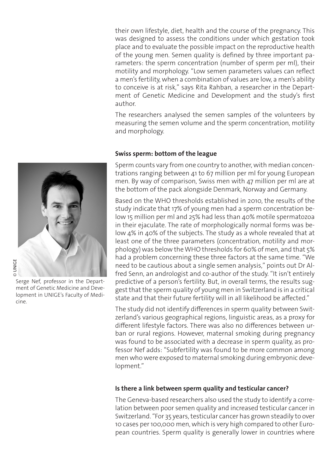their own lifestyle, diet, health and the course of the pregnancy. This was designed to assess the conditions under which gestation took place and to evaluate the possible impact on the reproductive health of the young men. Semen quality is defined by three important parameters: the sperm concentration (number of sperm per ml), their motility and morphology. "Low semen parameters values can reflect a men's fertility, when a combination of values are low, a men's ability to conceive is at risk," says Rita Rahban, a researcher in the Department of Genetic Medicine and Development and the study's first author.

The researchers analysed the semen samples of the volunteers by measuring the semen volume and the sperm concentration, motility and morphology.

#### **Swiss sperm: bottom of the league**

Sperm counts vary from one country to another, with median concentrations ranging between 41 to 67 million per ml for young European men. By way of comparison, Swiss men with 47 million per ml are at the bottom of the pack alongside Denmark, Norway and Germany.

Based on the WHO thresholds established in 2010, the results of the study indicate that 17% of young men had a sperm concentration below 15 million per ml and 25% had less than 40% motile spermatozoa in their ejaculate. The rate of morphologically normal forms was below 4% in 40% of the subjects. The study as a whole revealed that at least one of the three parameters (concentration, motility and morphology) was below the WHO thresholds for 60% of men, and that 5% had a problem concerning these three factors at the same time. "We need to be cautious about a single semen analysis," points out Dr Alfred Senn, an andrologist and co-author of the study. "It isn't entirely predictive of a person's fertility. But, in overall terms, the results suggest that the sperm quality of young men in Switzerland is in a critical state and that their future fertility will in all likelihood be affected."

The study did not identify differences in sperm quality between Switzerland's various geographical regions, linguistic areas, as a proxy for different lifestyle factors. There was also no differences between urban or rural regions. However, maternal smoking during pregnancy was found to be associated with a decrease in sperm quality, as professor Nef adds: "Subfertility was found to be more common among men who were exposed to maternal smoking during embryonic development."

#### **Is there a link between sperm quality and testicular cancer?**

The Geneva-based researchers also used the study to identify a correlation between poor semen quality and increased testicular cancer in Switzerland. "For 35 years, testicular cancer has grown steadily to over 10 cases per 100,000 men, which is very high compared to other European countries. Sperm quality is generally lower in countries where



Serge Nef, professor in the Department of Genetic Medicine and Development in UNIGE's Faculty of Medicine.